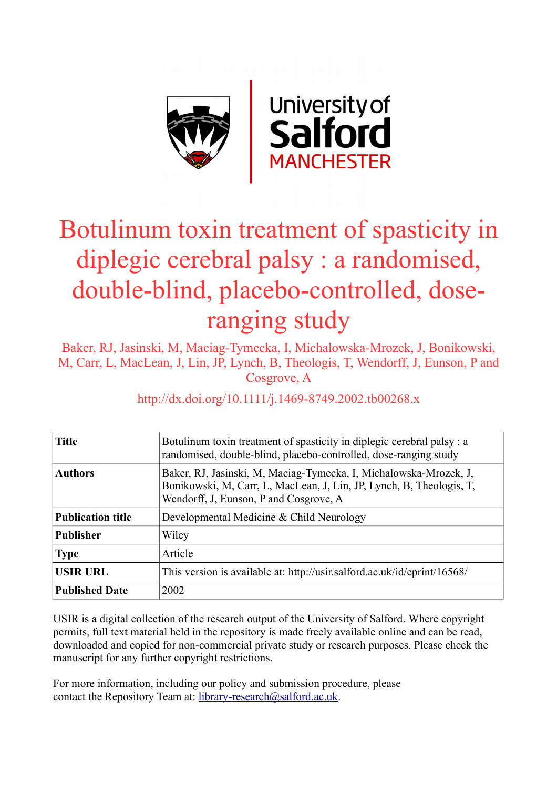

# Botulinum toxin treatment of spasticity in diplegic cerebral palsy : a randomised, double-blind, placebo-controlled, doseranging study

Baker, RJ, Jasinski, M, Maciag-Tymecka, I, Michalowska-Mrozek, J, Bonikowski, M, Carr, L, MacLean, J, Lin, JP, Lynch, B, Theologis, T, Wendorff, J, Eunson, P and Cosgrove, A

http://dx.doi.org/10.1111/j.1469-8749.2002.tb00268.x

| <b>Title</b>             | Botulinum toxin treatment of spasticity in diplegic cerebral palsy : a<br>randomised, double-blind, placebo-controlled, dose-ranging study                                          |
|--------------------------|-------------------------------------------------------------------------------------------------------------------------------------------------------------------------------------|
| <b>Authors</b>           | Baker, RJ, Jasinski, M, Maciag-Tymecka, I, Michalowska-Mrozek, J,<br>Bonikowski, M, Carr, L, MacLean, J, Lin, JP, Lynch, B, Theologis, T,<br>Wendorff, J. Eunson, P and Cosgrove, A |
| <b>Publication title</b> | Developmental Medicine & Child Neurology                                                                                                                                            |
| <b>Publisher</b>         | Wiley                                                                                                                                                                               |
| <b>Type</b>              | Article                                                                                                                                                                             |
| <b>USIR URL</b>          | This version is available at: http://usir.salford.ac.uk/id/eprint/16568/                                                                                                            |
| <b>Published Date</b>    | 2002                                                                                                                                                                                |

USIR is a digital collection of the research output of the University of Salford. Where copyright permits, full text material held in the repository is made freely available online and can be read, downloaded and copied for non-commercial private study or research purposes. Please check the manuscript for any further copyright restrictions.

For more information, including our policy and submission procedure, please contact the Repository Team at: [library-research@salford.ac.uk.](mailto:library-research@salford.ac.uk)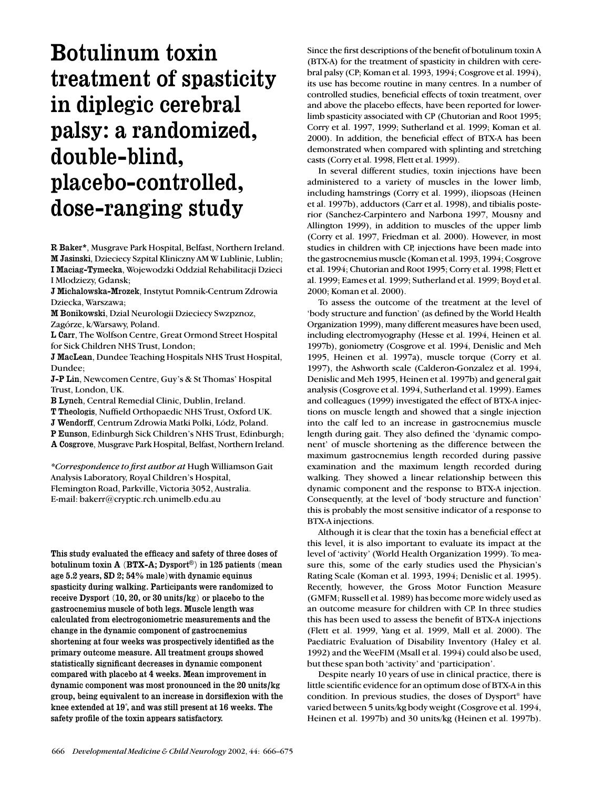# Botulinum toxin treatment of spasticity in diplegic cerebral palsy: a randomized, double-blind, placebo-controlled, dose-ranging study

R Baker\*, Musgrave Park Hospital, Belfast, Northern Ireland. M Jasinski, Dzieciecy Szpital Kliniczny AM W Lublinie, Lublin; I Maciag-Tymecka, Wojewodzki Oddzial Rehabilitacji Dzieci I Mlodziezy, Gdansk;

J Michalowska-Mrozek, Instytut Pomnik-Centrum Zdrowia Dziecka, Warszawa;

M Bonikowski, Dzial Neurologii Dzieciecy Swzpznoz,

Zagórze, k/Warsawy, Poland.

L Carr, The Wolfson Centre, Great Ormond Street Hospital for Sick Children NHS Trust, London;

J MacLean, Dundee Teaching Hospitals NHS Trust Hospital, Dundee;

J-P Lin, Newcomen Centre, Guy's & St Thomas' Hospital Trust, London, UK.

B Lynch, Central Remedial Clinic, Dublin, Ireland.

T Theologis, Nuffield Orthopaedic NHS Trust, Oxford UK.

J Wendorff, Centrum Zdrowia Matki Polki, Lódż, Poland.

P Eunson, Edinburgh Sick Children's NHS Trust, Edinburgh; A Cosgrove, Musgrave Park Hospital, Belfast, Northern Ireland.

*\*Correspondence to first author at* Hugh Williamson Gait Analysis Laboratory, Royal Children's Hospital,

Flemington Road, Parkville, Victoria 3052, Australia. E-mail: bakerr@cryptic.rch.unimelb.edu.au

This study evaluated the efficacy and safety of three doses of botulinum toxin A ( $BTX-A$ ; Dysport<sup>®</sup>) in 125 patients (mean age 5.2 years, SD 2; 54% male)with dynamic equinus spasticity during walking. Participants were randomized to receive Dysport (10, 20, or 30 units/kg) or placebo to the gastrocnemius muscle of both legs. Muscle length was calculated from electrogoniometric measurements and the change in the dynamic component of gastrocnemius shortening at four weeks was prospectively identified as the primary outcome measure. All treatment groups showed statistically significant decreases in dynamic component compared with placebo at 4 weeks. Mean improvement in dynamic component was most pronounced in the 20 units/kg group, being equivalent to an increase in dorsiflexion with the knee extended at 19˚, and was still present at 16 weeks. The safety profile of the toxin appears satisfactory.

Since the first descriptions of the benefit of botulinum toxin A (BTX-A) for the treatment of spasticity in children with cerebral palsy (CP; Koman et al. 1993, 1994; Cosgrove et al. 1994), its use has become routine in many centres. In a number of controlled studies, beneficial effects of toxin treatment, over and above the placebo effects, have been reported for lowerlimb spasticity associated with CP (Chutorian and Root 1995; Corry et al. 1997, 1999; Sutherland et al. 1999; Koman et al. 2000). In addition, the beneficial effect of BTX-A has been demonstrated when compared with splinting and stretching casts (Corry et al. 1998, Flett et al. 1999).

In several different studies, toxin injections have been administered to a variety of muscles in the lower limb, including hamstrings (Corry et al. 1999), iliopsoas (Heinen et al. 1997b), adductors (Carr et al. 1998), and tibialis posterior (Sanchez-Carpintero and Narbona 1997, Mousny and Allington 1999), in addition to muscles of the upper limb (Corry et al. 1997, Friedman et al. 2000). However, in most studies in children with CP, injections have been made into the gastrocnemius muscle (Koman et al. 1993, 1994; Cosgrove et al. 1994; Chutorian and Root 1995; Corry et al. 1998; Flett et al. 1999; Eames et al. 1999; Sutherland et al. 1999; Boyd et al. 2000; Koman et al. 2000).

To assess the outcome of the treatment at the level of 'body structure and function' (as defined by the World Health Organization 1999), many different measures have been used, including electromyography (Hesse et al. 1994, Heinen et al. 1997b), goniometry (Cosgrove et al. 1994, Denislic and Meh 1995, Heinen et al. 1997a), muscle torque (Corry et al. 1997), the Ashworth scale (Calderon-Gonzalez et al. 1994, Denislic and Meh 1995, Heinen et al. 1997b) and general gait analysis (Cosgrove et al. 1994, Sutherland et al. 1999). Eames and colleagues (1999) investigated the effect of BTX-A injections on muscle length and showed that a single injection into the calf led to an increase in gastrocnemius muscle length during gait. They also defined the 'dynamic component' of muscle shortening as the difference between the maximum gastrocnemius length recorded during passive examination and the maximum length recorded during walking. They showed a linear relationship between this dynamic component and the response to BTX-A injection. Consequently, at the level of 'body structure and function' this is probably the most sensitive indicator of a response to BTX-A injections.

Although it is clear that the toxin has a beneficial effect at this level, it is also important to evaluate its impact at the level of 'activity' (World Health Organization 1999). To measure this, some of the early studies used the Physician's Rating Scale (Koman et al. 1993, 1994; Denislic et al. 1995). Recently, however, the Gross Motor Function Measure (GMFM; Russell et al. 1989) has become more widely used as an outcome measure for children with CP. In three studies this has been used to assess the benefit of BTX-A injections (Flett et al. 1999, Yang et al. 1999, Mall et al. 2000). The Paediatric Evaluation of Disability Inventory (Haley et al. 1992) and the WeeFIM (Msall et al. 1994) could also be used, but these span both 'activity' and 'participation'.

Despite nearly 10 years of use in clinical practice, there is little scientific evidence for an optimum dose of BTX-A in this condition. In previous studies, the doses of Dysport® have varied between 5 units/kg body weight (Cosgrove et al. 1994, Heinen et al. 1997b) and 30 units/kg (Heinen et al. 1997b).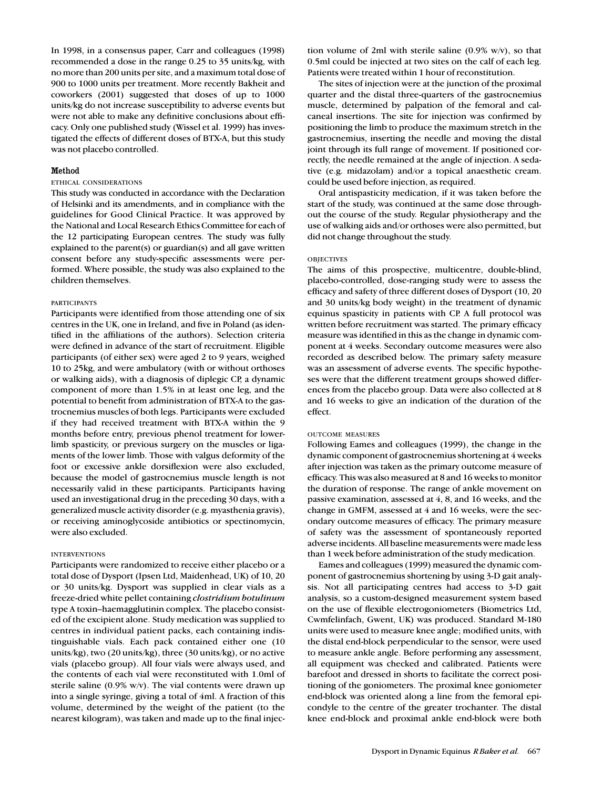In 1998, in a consensus paper, Carr and colleagues (1998) recommended a dose in the range 0.25 to 35 units/kg, with no more than 200 units per site, and a maximum total dose of 900 to 1000 units per treatment. More recently Bakheit and coworkers (2001) suggested that doses of up to 1000 units/kg do not increase susceptibility to adverse events but were not able to make any definitive conclusions about efficacy. Only one published study (Wissel et al. 1999) has investigated the effects of different doses of BTX-A, but this study was not placebo controlled.

# Method

# ETHICAL CONSIDERATIONS

This study was conducted in accordance with the Declaration of Helsinki and its amendments, and in compliance with the guidelines for Good Clinical Practice. It was approved by the National and Local Research Ethics Committee for each of the 12 participating European centres. The study was fully explained to the parent(s) or guardian(s) and all gave written consent before any study-specific assessments were performed. Where possible, the study was also explained to the children themselves.

#### **PARTICIPANTS**

Participants were identified from those attending one of six centres in the UK, one in Ireland, and five in Poland (as identified in the affiliations of the authors). Selection criteria were defined in advance of the start of recruitment. Eligible participants (of either sex) were aged 2 to 9 years, weighed 10 to 25kg, and were ambulatory (with or without orthoses or walking aids), with a diagnosis of diplegic CP, a dynamic component of more than 1.5% in at least one leg, and the potential to benefit from administration of BTX-A to the gastrocnemius muscles of both legs. Participants were excluded if they had received treatment with BTX-A within the 9 months before entry, previous phenol treatment for lowerlimb spasticity, or previous surgery on the muscles or ligaments of the lower limb. Those with valgus deformity of the foot or excessive ankle dorsiflexion were also excluded, because the model of gastrocnemius muscle length is not necessarily valid in these participants. Participants having used an investigational drug in the preceding 30 days, with a generalized muscle activity disorder (e.g. myasthenia gravis), or receiving aminoglycoside antibiotics or spectinomycin, were also excluded.

# INTERVENTIONS

Participants were randomized to receive either placebo or a total dose of Dysport (Ipsen Ltd, Maidenhead, UK) of 10, 20 or 30 units/kg. Dysport was supplied in clear vials as a freeze-dried white pellet containing *clostridium botulinum* type A toxin–haemagglutinin complex. The placebo consisted of the excipient alone. Study medication was supplied to centres in individual patient packs, each containing indistinguishable vials. Each pack contained either one (10 units/kg), two (20 units/kg), three (30 units/kg), or no active vials (placebo group). All four vials were always used, and the contents of each vial were reconstituted with 1.0ml of sterile saline  $(0.9\% \text{ w/v})$ . The vial contents were drawn up into a single syringe, giving a total of 4ml. A fraction of this volume, determined by the weight of the patient (to the nearest kilogram), was taken and made up to the final injection volume of 2ml with sterile saline  $(0.9\% \text{ w/v})$ , so that 0.5ml could be injected at two sites on the calf of each leg. Patients were treated within 1 hour of reconstitution.

The sites of injection were at the junction of the proximal quarter and the distal three-quarters of the gastrocnemius muscle, determined by palpation of the femoral and calcaneal insertions. The site for injection was confirmed by positioning the limb to produce the maximum stretch in the gastrocnemius, inserting the needle and moving the distal joint through its full range of movement. If positioned correctly, the needle remained at the angle of injection. A sedative (e.g. midazolam) and/or a topical anaesthetic cream. could be used before injection, as required.

Oral antispasticity medication, if it was taken before the start of the study, was continued at the same dose throughout the course of the study. Regular physiotherapy and the use of walking aids and/or orthoses were also permitted, but did not change throughout the study.

#### **OBIECTIVES**

The aims of this prospective, multicentre, double-blind, placebo-controlled, dose-ranging study were to assess the efficacy and safety of three different doses of Dysport (10, 20 and 30 units/kg body weight) in the treatment of dynamic equinus spasticity in patients with CP. A full protocol was written before recruitment was started. The primary efficacy measure was identified in this as the change in dynamic component at 4 weeks. Secondary outcome measures were also recorded as described below. The primary safety measure was an assessment of adverse events. The specific hypotheses were that the different treatment groups showed differences from the placebo group. Data were also collected at 8 and 16 weeks to give an indication of the duration of the effect.

#### OUTCOME MEASURES

Following Eames and colleagues (1999), the change in the dynamic component of gastrocnemius shortening at 4 weeks after injection was taken as the primary outcome measure of efficacy. This was also measured at 8 and 16 weeks to monitor the duration of response. The range of ankle movement on passive examination, assessed at 4, 8, and 16 weeks, and the change in GMFM, assessed at 4 and 16 weeks, were the secondary outcome measures of efficacy. The primary measure of safety was the assessment of spontaneously reported adverse incidents. All baseline measurements were made less than 1 week before administration of the study medication.

Eames and colleagues (1999) measured the dynamic component of gastrocnemius shortening by using 3-D gait analysis. Not all participating centres had access to 3-D gait analysis, so a custom-designed measurement system based on the use of flexible electrogoniometers (Biometrics Ltd, Cwmfelinfach, Gwent, UK) was produced. Standard M-180 units were used to measure knee angle; modified units, with the distal end-block perpendicular to the sensor, were used to measure ankle angle. Before performing any assessment, all equipment was checked and calibrated. Patients were barefoot and dressed in shorts to facilitate the correct positioning of the goniometers. The proximal knee goniometer end-block was oriented along a line from the femoral epicondyle to the centre of the greater trochanter. The distal knee end-block and proximal ankle end-block were both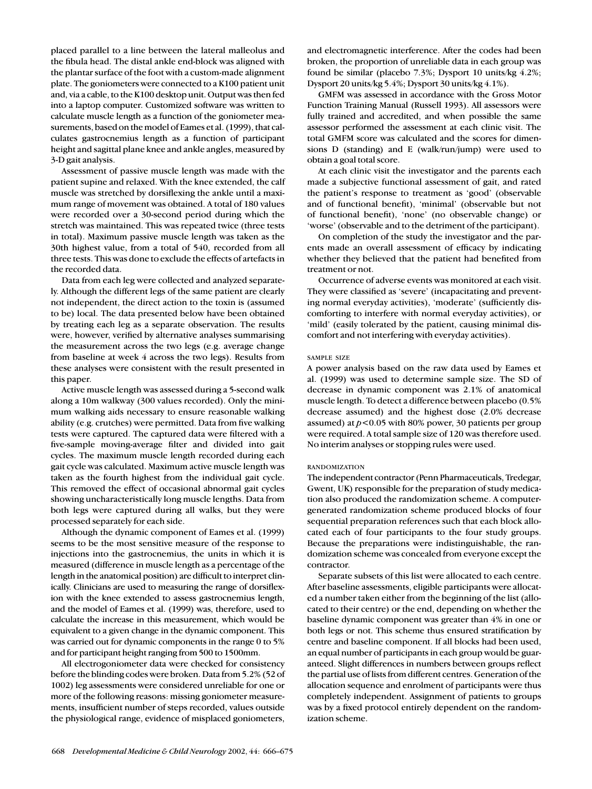placed parallel to a line between the lateral malleolus and the fibula head. The distal ankle end-block was aligned with the plantar surface of the foot with a custom-made alignment plate. The goniometers were connected to a K100 patient unit and, via a cable, to the K100 desktop unit. Output was then fed into a laptop computer. Customized software was written to calculate muscle length as a function of the goniometer measurements, based on the model of Eames et al. (1999), that calculates gastrocnemius length as a function of participant height and sagittal plane knee and ankle angles, measured by 3-D gait analysis.

Assessment of passive muscle length was made with the patient supine and relaxed. With the knee extended, the calf muscle was stretched by dorsiflexing the ankle until a maximum range of movement was obtained. A total of 180 values were recorded over a 30-second period during which the stretch was maintained. This was repeated twice (three tests in total). Maximum passive muscle length was taken as the 30th highest value, from a total of 540, recorded from all three tests. This was done to exclude the effects of artefacts in the recorded data.

Data from each leg were collected and analyzed separately. Although the different legs of the same patient are clearly not independent, the direct action to the toxin is (assumed to be) local. The data presented below have been obtained by treating each leg as a separate observation. The results were, however, verified by alternative analyses summarising the measurement across the two legs (e.g. average change from baseline at week 4 across the two legs). Results from these analyses were consistent with the result presented in this paper.

Active muscle length was assessed during a 5-second walk along a 10m walkway (300 values recorded). Only the minimum walking aids necessary to ensure reasonable walking ability (e.g. crutches) were permitted. Data from five walking tests were captured. The captured data were filtered with a five-sample moving-average filter and divided into gait cycles. The maximum muscle length recorded during each gait cycle was calculated. Maximum active muscle length was taken as the fourth highest from the individual gait cycle. This removed the effect of occasional abnormal gait cycles showing uncharacteristically long muscle lengths. Data from both legs were captured during all walks, but they were processed separately for each side.

Although the dynamic component of Eames et al. (1999) seems to be the most sensitive measure of the response to injections into the gastrocnemius, the units in which it is measured (difference in muscle length as a percentage of the length in the anatomical position) are difficult to interpret clinically. Clinicians are used to measuring the range of dorsiflexion with the knee extended to assess gastrocnemius length, and the model of Eames et al. (1999) was, therefore, used to calculate the increase in this measurement, which would be equivalent to a given change in the dynamic component. This was carried out for dynamic components in the range 0 to 5% and for participant height ranging from 500 to 1500mm.

All electrogoniometer data were checked for consistency before the blinding codes were broken. Data from 5.2% (52 of 1002) leg assessments were considered unreliable for one or more of the following reasons: missing goniometer measurements, insufficient number of steps recorded, values outside the physiological range, evidence of misplaced goniometers, and electromagnetic interference. After the codes had been broken, the proportion of unreliable data in each group was found be similar (placebo 7.3%; Dysport 10 units/kg 4.2%; Dysport 20 units/kg 5.4%; Dysport 30 units/kg 4.1%).

GMFM was assessed in accordance with the Gross Motor Function Training Manual (Russell 1993). All assessors were fully trained and accredited, and when possible the same assessor performed the assessment at each clinic visit. The total GMFM score was calculated and the scores for dimensions D (standing) and E (walk/run/jump) were used to obtain a goal total score.

At each clinic visit the investigator and the parents each made a subjective functional assessment of gait, and rated the patient's response to treatment as 'good' (observable and of functional benefit), 'minimal' (observable but not of functional benefit), 'none' (no observable change) or 'worse' (observable and to the detriment of the participant).

On completion of the study the investigator and the parents made an overall assessment of efficacy by indicating whether they believed that the patient had benefited from treatment or not.

Occurrence of adverse events was monitored at each visit. They were classified as 'severe' (incapacitating and preventing normal everyday activities), 'moderate' (sufficiently discomforting to interfere with normal everyday activities), or 'mild' (easily tolerated by the patient, causing minimal discomfort and not interfering with everyday activities).

#### SAMPLE SIZE

A power analysis based on the raw data used by Eames et al. (1999) was used to determine sample size. The SD of decrease in dynamic component was 2.1% of anatomical muscle length. To detect a difference between placebo (0.5% decrease assumed) and the highest dose (2.0% decrease assumed) at *p*<0.05 with 80% power, 30 patients per group were required. A total sample size of 120 was therefore used. No interim analyses or stopping rules were used.

#### RANDOMIZATION

The independent contractor (Penn Pharmaceuticals, Tredegar, Gwent, UK) responsible for the preparation of study medication also produced the randomization scheme. A computergenerated randomization scheme produced blocks of four sequential preparation references such that each block allocated each of four participants to the four study groups. Because the preparations were indistinguishable, the randomization scheme was concealed from everyone except the contractor.

Separate subsets of this list were allocated to each centre. After baseline assessments, eligible participants were allocated a number taken either from the beginning of the list (allocated to their centre) or the end, depending on whether the baseline dynamic component was greater than 4% in one or both legs or not. This scheme thus ensured stratification by centre and baseline component. If all blocks had been used, an equal number of participants in each group would be guaranteed. Slight differences in numbers between groups reflect the partial use of lists from different centres. Generation of the allocation sequence and enrolment of participants were thus completely independent. Assignment of patients to groups was by a fixed protocol entirely dependent on the randomization scheme.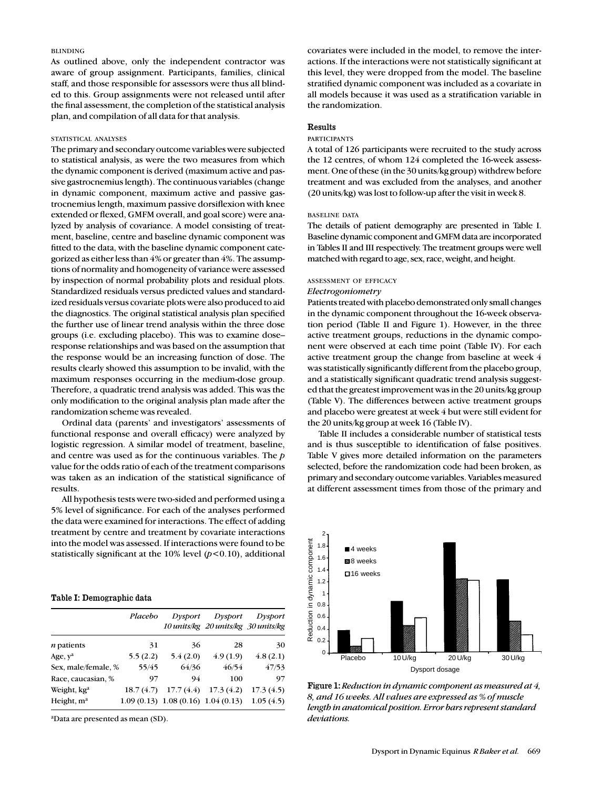## **BLINDING**

As outlined above, only the independent contractor was aware of group assignment. Participants, families, clinical staff, and those responsible for assessors were thus all blinded to this. Group assignments were not released until after the final assessment, the completion of the statistical analysis plan, and compilation of all data for that analysis.

#### STATISTICAL ANALYSES

The primary and secondary outcome variables were subjected to statistical analysis, as were the two measures from which the dynamic component is derived (maximum active and passive gastrocnemius length). The continuous variables (change in dynamic component, maximum active and passive gastrocnemius length, maximum passive dorsiflexion with knee extended or flexed, GMFM overall, and goal score) were analyzed by analysis of covariance. A model consisting of treatment, baseline, centre and baseline dynamic component was fitted to the data, with the baseline dynamic component categorized as either less than 4% or greater than 4%. The assumptions of normality and homogeneity of variance were assessed by inspection of normal probability plots and residual plots. Standardized residuals versus predicted values and standardized residuals versus covariate plots were also produced to aid the diagnostics. The original statistical analysis plan specified the further use of linear trend analysis within the three dose groups (i.e. excluding placebo). This was to examine dose– response relationships and was based on the assumption that the response would be an increasing function of dose. The results clearly showed this assumption to be invalid, with the maximum responses occurring in the medium-dose group. Therefore, a quadratic trend analysis was added. This was the only modification to the original analysis plan made after the randomization scheme was revealed.

Ordinal data (parents' and investigators' assessments of functional response and overall efficacy) were analyzed by logistic regression. A similar model of treatment, baseline, and centre was used as for the continuous variables. The *p* value for the odds ratio of each of the treatment comparisons was taken as an indication of the statistical significance of results.

All hypothesis tests were two-sided and performed using a 5% level of significance. For each of the analyses performed the data were examined for interactions. The effect of adding treatment by centre and treatment by covariate interactions into the model was assessed. If interactions were found to be statistically significant at the 10% level (*p*<0.10), additional

#### Table I: Demographic data

|                         | Placebo  | Dysport               | Dysport<br>10 units/kg 20 units/kg 30 units/kg     | Dysport   |
|-------------------------|----------|-----------------------|----------------------------------------------------|-----------|
| $n$ patients            | 31       | 36                    | 28                                                 | 30        |
| Age, $y^a$              | 5.5(2.2) | 5.4(2.0)              | 4.9(1.9)                                           | 4.8(2.1)  |
| Sex, male/female, %     | 55/45    | 64/36                 | 46/54                                              | 47/53     |
| Race, caucasian, %      | 97       | 94                    | 100                                                | 97        |
| Weight, kg <sup>a</sup> |          | $18.7(4.7)$ 17.7(4.4) | 17.3(4.2)                                          | 17.3(4.5) |
| Height, $m^a$           |          |                       | $1.09(0.13)$ $1.08(0.16)$ $1.04(0.13)$ $1.05(4.5)$ |           |

aData are presented as mean (SD).

covariates were included in the model, to remove the interactions. If the interactions were not statistically significant at this level, they were dropped from the model. The baseline stratified dynamic component was included as a covariate in all models because it was used as a stratification variable in the randomization.

# Results

# PARTICIPANTS

A total of 126 participants were recruited to the study across the 12 centres, of whom 124 completed the 16-week assessment. One of these (in the 30 units/kg group) withdrew before treatment and was excluded from the analyses, and another (20 units/kg) was lost to follow-up after the visit in week 8.

# BASELINE DATA

The details of patient demography are presented in Table I. Baseline dynamic component and GMFM data are incorporated in Tables II and III respectively. The treatment groups were well matched with regard to age, sex, race, weight, and height.

# ASSESSMENT OF EFFICACY

# *Electrogoniometry*

Patients treated with placebo demonstrated only small changes in the dynamic component throughout the 16-week observation period (Table II and Figure 1). However, in the three active treatment groups, reductions in the dynamic component were observed at each time point (Table IV). For each active treatment group the change from baseline at week 4 was statistically significantly different from the placebo group, and a statistically significant quadratic trend analysis suggested that the greatest improvement was in the 20 units/kg group (Table V). The differences between active treatment groups and placebo were greatest at week 4 but were still evident for the 20 units/kg group at week 16 (Table IV).

Table II includes a considerable number of statistical tests and is thus susceptible to identification of false positives. Table V gives more detailed information on the parameters selected, before the randomization code had been broken, as primary and secondary outcome variables. Variables measured at different assessment times from those of the primary and



Figure 1: *Reduction in dynamic component as measured at 4, 8, and 16 weeks. All values are expressed as % of muscle length in anatomical position. Error bars represent standard deviations.*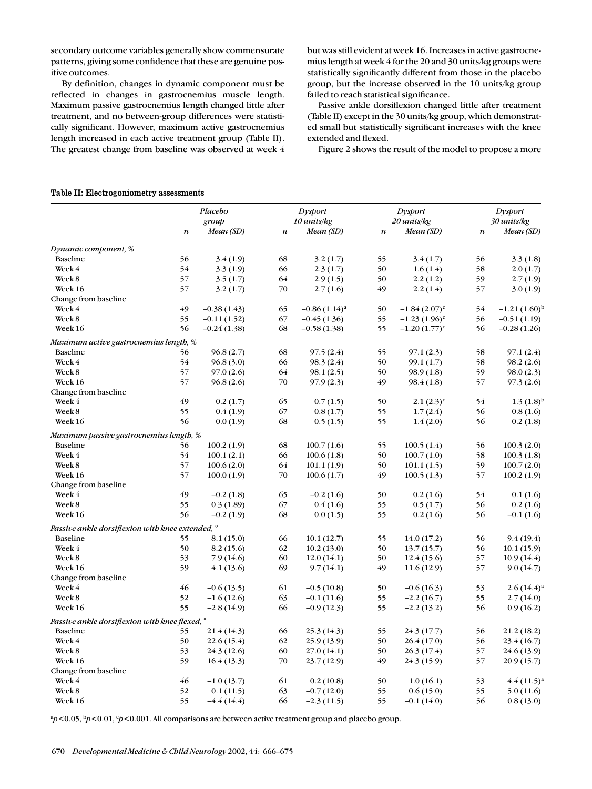secondary outcome variables generally show commensurate patterns, giving some confidence that these are genuine positive outcomes.

By definition, changes in dynamic component must be reflected in changes in gastrocnemius muscle length. Maximum passive gastrocnemius length changed little after treatment, and no between-group differences were statistically significant. However, maximum active gastrocnemius length increased in each active treatment group (Table II). The greatest change from baseline was observed at week 4 but was still evident at week 16. Increases in active gastrocnemius length at week 4 for the 20 and 30 units/kg groups were statistically significantly different from those in the placebo group, but the increase observed in the 10 units/kg group failed to reach statistical significance.

Passive ankle dorsiflexion changed little after treatment (Table II) except in the 30 units/kg group, which demonstrated small but statistically significant increases with the knee extended and flexed.

Figure 2 shows the result of the model to propose a more

# Table II: Electrogoniometry assessments

|                                                           | Placebo          |               |                  | Dysport         | Dysport          |                       | Dysport          |                   |
|-----------------------------------------------------------|------------------|---------------|------------------|-----------------|------------------|-----------------------|------------------|-------------------|
|                                                           |                  | group         |                  | 10 units/kg     |                  | 20 units/kg           |                  | 30 units/kg       |
|                                                           | $\boldsymbol{n}$ | Mean (SD)     | $\boldsymbol{n}$ | Mean (SD)       | $\boldsymbol{n}$ | $\overline{Mean(SD)}$ | $\boldsymbol{n}$ | Mean (SD)         |
| Dynamic component, %                                      |                  |               |                  |                 |                  |                       |                  |                   |
| <b>Baseline</b>                                           | 56               | 3.4(1.9)      | 68               | 3.2(1.7)        | 55               | 3.4(1.7)              | 56               | 3.3(1.8)          |
| Week 4                                                    | 54               | 3.3(1.9)      | 66               | 2.3(1.7)        | 50               | 1.6(1.4)              | 58               | 2.0(1.7)          |
| Week 8                                                    | 57               | 3.5(1.7)      | 64               | 2.9(1.5)        | 50               | 2.2(1.2)              | 59               | 2.7(1.9)          |
| Week 16                                                   | 57               | 3.2(1.7)      | 70               | 2.7(1.6)        | 49               | 2.2(1.4)              | 57               | 3.0(1.9)          |
| Change from baseline                                      |                  |               |                  |                 |                  |                       |                  |                   |
| Week 4                                                    | 49               | $-0.38(1.43)$ | 65               | $-0.86(1.14)^a$ | 50               | $-1.84(2.07)^c$       | 54               | $-1.21(1.60)^{b}$ |
| Week 8                                                    | 55               | $-0.11(1.52)$ | 67               | $-0.45(1.36)$   | 55               | $-1.23(1.96)^c$       | 56               | $-0.51(1.19)$     |
| Week 16                                                   | 56               | $-0.24(1.38)$ | 68               | $-0.58(1.38)$   | 55               | $-1.20(1.77)^c$       | 56               | $-0.28(1.26)$     |
| Maximum active gastrocnemius lengtb, %                    |                  |               |                  |                 |                  |                       |                  |                   |
| <b>Baseline</b>                                           | 56               | 96.8(2.7)     | 68               | 97.5(2.4)       | 55               | 97.1(2.3)             | 58               | 97.1(2.4)         |
| Week 4                                                    | 54               | 96.8(3.0)     | 66               | 98.3(2.4)       | 50               | 99.1(1.7)             | 58               | 98.2(2.6)         |
| Week 8                                                    | 57               | 97.0(2.6)     | 64               | 98.1(2.5)       | 50               | 98.9(1.8)             | 59               | 98.0(2.3)         |
| Week 16                                                   | 57               | 96.8(2.6)     | 70               | 97.9(2.3)       | 49               | 98.4(1.8)             | 57               | 97.3(2.6)         |
| Change from baseline                                      |                  |               |                  |                 |                  |                       |                  |                   |
| Week 4                                                    | 49               | 0.2(1.7)      | 65               | 0.7(1.5)        | 50               | $2.1(2.3)^c$          | 54               | $1.3(1.8)^{b}$    |
| Week 8                                                    | 55               | 0.4(1.9)      | 67               | 0.8(1.7)        | 55               | 1.7(2.4)              | 56               | 0.8(1.6)          |
| Week 16                                                   | 56               | 0.0(1.9)      | 68               | 0.5(1.5)        | 55               | 1.4(2.0)              | 56               | 0.2(1.8)          |
| Maximum passive gastrocnemius length, %                   |                  |               |                  |                 |                  |                       |                  |                   |
| <b>Baseline</b>                                           | 56               | 100.2(1.9)    | 68               | 100.7(1.6)      | 55               | 100.5(1.4)            | 56               | 100.3(2.0)        |
| Week 4                                                    | 54               | 100.1(2.1)    | 66               | 100.6(1.8)      | 50               | 100.7(1.0)            | 58               | 100.3(1.8)        |
| Week 8                                                    | 57               | 100.6(2.0)    | 64               | 101.1(1.9)      | 50               | 101.1(1.5)            | 59               | 100.7(2.0)        |
| Week 16                                                   | 57               | 100.0(1.9)    | 70               | 100.6(1.7)      | 49               | 100.5(1.3)            | 57               | 100.2(1.9)        |
| Change from baseline                                      |                  |               |                  |                 |                  |                       |                  |                   |
| Week 4                                                    | 49               | $-0.2(1.8)$   | 65               | $-0.2(1.6)$     | 50               | 0.2(1.6)              | 54               | 0.1(1.6)          |
| Week 8                                                    | 55               | 0.3(1.89)     | 67               | 0.4(1.6)        | 55               | 0.5(1.7)              | 56               | 0.2(1.6)          |
| Week 16                                                   | 56               | $-0.2(1.9)$   | 68               | 0.0(1.5)        | 55               | 0.2(1.6)              | 56               | $-0.1(1.6)$       |
| Passive ankle dorsiflexion with knee extended, $^{\circ}$ |                  |               |                  |                 |                  |                       |                  |                   |
| <b>Baseline</b>                                           | 55               | 8.1(15.0)     | 66               | 10.1(12.7)      | 55               | 14.0(17.2)            | 56               | 9.4(19.4)         |
| Week 4                                                    | 50               | 8.2(15.6)     | 62               | 10.2(13.0)      | 50               | 13.7(15.7)            | 56               | 10.1(15.9)        |
| Week 8                                                    | 53               | 7.9(14.6)     | 60               | 12.0(14.1)      | 50               | 12.4(15.6)            | 57               | 10.9(14.4)        |
| Week 16                                                   | 59               | 4.1(13.6)     | 69               | 9.7(14.1)       | 49               | 11.6(12.9)            | 57               | 9.0(14.7)         |
| Change from baseline                                      |                  |               |                  |                 |                  |                       |                  |                   |
| Week 4                                                    | 46               | $-0.6(13.5)$  | 61               | $-0.5(10.8)$    | 50               | $-0.6(16.3)$          | 53               | $2.6(14.4)^a$     |
| Week 8                                                    | 52               | $-1.6(12.6)$  | 63               | $-0.1(11.6)$    | 55               | $-2.2(16.7)$          | 55               | 2.7(14.0)         |
| Week 16                                                   | 55               | $-2.8(14.9)$  | 66               | $-0.9(12.3)$    | 55               | $-2.2(13.2)$          | 56               | 0.9(16.2)         |
| Passive ankle dorsiflexion with knee flexed, $^{\circ}$   |                  |               |                  |                 |                  |                       |                  |                   |
| <b>Baseline</b>                                           | 55               | 21.4(14.3)    | 66               | 25.3(14.3)      | 55               | 24.3(17.7)            | 56               | 21.2(18.2)        |
| Week 4                                                    | 50               | 22.6(15.4)    | 62               | 25.9(13.9)      | 50               | 26.4(17.0)            | 56               | 23.4(16.7)        |
| Week 8                                                    | 53               | 24.3(12.6)    | 60               | 27.0(14.1)      | 50               | 26.3(17.4)            | 57               | 24.6(13.9)        |
| Week 16                                                   | 59               | 16.4(13.3)    | 70               | 23.7(12.9)      | 49               | 24.3(15.9)            | 57               | 20.9(15.7)        |
| Change from baseline                                      |                  |               |                  |                 |                  |                       |                  |                   |
| Week 4                                                    | 46               | $-1.0(13.7)$  | 61               | 0.2(10.8)       | 50               | 1.0(16.1)             | 53               | $4.4(11.5)^{a}$   |
| Week 8                                                    | 52               | 0.1(11.5)     | 63               | $-0.7(12.0)$    | 55               | 0.6(15.0)             | 55               | 5.0(11.6)         |
| Week 16                                                   | 55               | $-4.4(14.4)$  | 66               | $-2.3(11.5)$    | 55               | $-0.1(14.0)$          | 56               | 0.8(13.0)         |

 $a_p$ <0.05,  $b_p$ <0.01,  $c_p$ <0.001. All comparisons are between active treatment group and placebo group.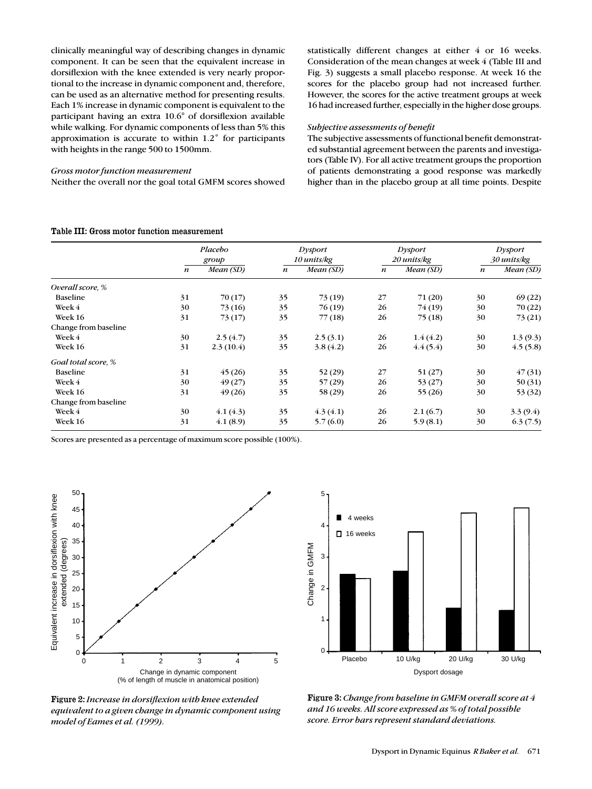clinically meaningful way of describing changes in dynamic component. It can be seen that the equivalent increase in dorsiflexion with the knee extended is very nearly proportional to the increase in dynamic component and, therefore, can be used as an alternative method for presenting results. Each 1% increase in dynamic component is equivalent to the participant having an extra 10.6° of dorsiflexion available while walking. For dynamic components of less than 5% this approximation is accurate to within 1.2˚ for participants with heights in the range 500 to 1500mm.

# *Gross motor function measurement*

Neither the overall nor the goal total GMFM scores showed

statistically different changes at either 4 or 16 weeks. Consideration of the mean changes at week 4 (Table III and Fig. 3) suggests a small placebo response. At week 16 the scores for the placebo group had not increased further. However, the scores for the active treatment groups at week 16 had increased further, especially in the higher dose groups.

# *Subjective assessments of benefit*

The subjective assessments of functional benefit demonstrated substantial agreement between the parents and investigators (Table IV). For all active treatment groups the proportion of patients demonstrating a good response was markedly higher than in the placebo group at all time points. Despite

# Table III: Gross motor function measurement

|                      | Placebo<br>group |           | Dysport<br>10 units/kg |           | Dysport<br>20 units/kg |           | Dysport<br>30 units/kg |           |
|----------------------|------------------|-----------|------------------------|-----------|------------------------|-----------|------------------------|-----------|
|                      | $\boldsymbol{n}$ | Mean (SD) | $\boldsymbol{n}$       | Mean (SD) | $\boldsymbol{n}$       | Mean (SD) | $\boldsymbol{n}$       | Mean (SD) |
| Overall score, %     |                  |           |                        |           |                        |           |                        |           |
| <b>Baseline</b>      | 31               | 70(17)    | 35                     | 73 (19)   | 27                     | 71 (20)   | 30                     | 69(22)    |
| Week 4               | 30               | 73 (16)   | 35                     | 76 (19)   | 26                     | 74 (19)   | 30                     | 70 (22)   |
| Week 16              | 31               | 73(17)    | 35                     | 77(18)    | 26                     | 75(18)    | 30                     | 73(21)    |
| Change from baseline |                  |           |                        |           |                        |           |                        |           |
| Week 4               | 30               | 2.5(4.7)  | 35                     | 2.5(3.1)  | 26                     | 1.4(4.2)  | 30                     | 1.3(9.3)  |
| Week 16              | 31               | 2.3(10.4) | 35                     | 3.8(4.2)  | 26                     | 4.4(5.4)  | 30                     | 4.5(5.8)  |
| Goal total score, %  |                  |           |                        |           |                        |           |                        |           |
| <b>Baseline</b>      | 31               | 45(26)    | 35                     | 52 (29)   | 27                     | 51(27)    | 30                     | 47(31)    |
| Week 4               | 30               | 49(27)    | 35                     | 57 (29)   | 26                     | 53(27)    | 30                     | 50(31)    |
| Week 16              | 31               | 49(26)    | 35                     | 58 (29)   | 26                     | 55 (26)   | 30                     | 53 (32)   |
| Change from baseline |                  |           |                        |           |                        |           |                        |           |
| Week 4               | 30               | 4.1(4.3)  | 35                     | 4.3(4.1)  | 26                     | 2.1(6.7)  | 30                     | 3.3(9.4)  |
| Week 16              | 31               | 4.1(8.9)  | 35                     | 5.7(6.0)  | 26                     | 5.9(8.1)  | 30                     | 6.3(7.5)  |

Scores are presented as a percentage of maximum score possible (100%).





Figure 2: *Increase in dorsiflexion with knee extended equivalent to a given change in dynamic component using model of Eames et al. (1999).*

Figure 3: *Change from baseline in GMFM overall score at 4 and 16 weeks. All score expressed as % of total possible score. Error bars represent standard deviations.*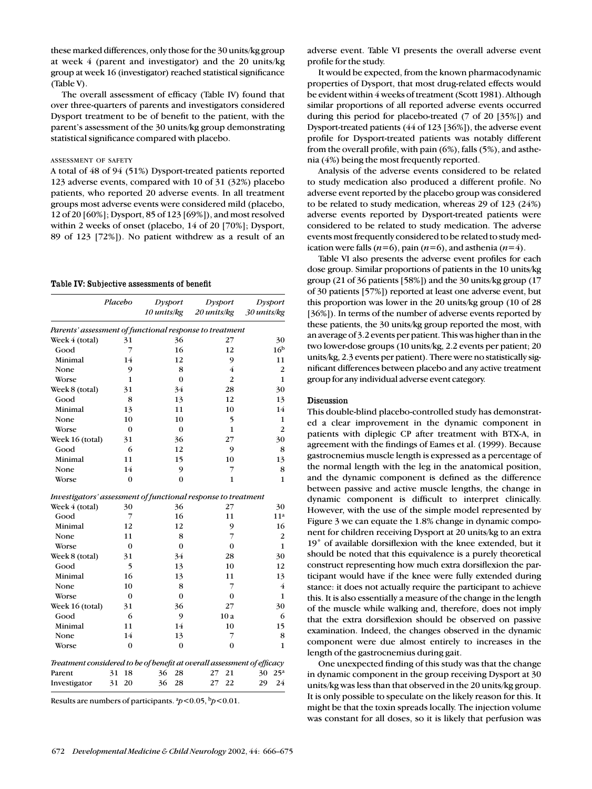these marked differences, only those for the 30 units/kg group at week 4 (parent and investigator) and the 20 units/kg group at week 16 (investigator) reached statistical significance (Table V).

The overall assessment of efficacy (Table IV) found that over three-quarters of parents and investigators considered Dysport treatment to be of benefit to the patient, with the parent's assessment of the 30 units/kg group demonstrating statistical significance compared with placebo.

# ASSESSMENT OF SAFETY

A total of 48 of 94 (51%) Dysport-treated patients reported 123 adverse events, compared with 10 of 31 (32%) placebo patients, who reported 20 adverse events. In all treatment groups most adverse events were considered mild (placebo, 12 of 20 [60%]; Dysport, 85 of 123 [69%]), and most resolved within 2 weeks of onset (placebo, 14 of 20 [70%]; Dysport, 89 of 123 [72%]). No patient withdrew as a result of an

#### Table IV: Subjective assessments of benefit

|                                                                         | Placebo        | Dysport        | Dysport        | Dysport               |
|-------------------------------------------------------------------------|----------------|----------------|----------------|-----------------------|
|                                                                         |                | 10 units/kg    | 20 units/kg    | 30 units/kg           |
| Parents' assessment of functional response to treatment                 |                |                |                |                       |
| Week 4 (total)                                                          | 31             | 36             | 27             | 30                    |
| Good                                                                    | 7              | 16             | 12             | 16 <sup>b</sup>       |
| Minimal                                                                 | 14             | 12             | 9              | 11                    |
| None                                                                    | 9              | 8              | $\overline{4}$ | 2                     |
| Worse                                                                   | 1              | $\overline{0}$ | $\overline{c}$ | $\mathbf{1}$          |
| Week 8 (total)                                                          | 31             | 34             | 28             | 30                    |
| Good                                                                    | 8              | 13             | 12             | 13                    |
| Minimal                                                                 | 13             | 11             | 10             | 14                    |
| None                                                                    | 10             | 10             | 5              | 1                     |
| Worse                                                                   | $\bf{0}$       | 0              | 1              | $\overline{2}$        |
| Week 16 (total)                                                         | 31             | 36             | 27             | 30                    |
| Good                                                                    | 6              | 12             | 9              | 8                     |
| Minimal                                                                 | 11             | 15             | 10             | 13                    |
| None                                                                    | 14             | 9              | 7              | 8                     |
| Worse                                                                   | $\overline{0}$ | $\overline{0}$ | 1              | 1                     |
| Investigators' assessment of functional response to treatment           |                |                |                |                       |
| Week 4 (total)                                                          | 30             | 36             | 27             | 30                    |
| Good                                                                    | 7              | 16             | 11             | 11 <sup>a</sup>       |
| Minimal                                                                 | 12             | 12             | 9              | 16                    |
| None                                                                    | 11             | 8              | 7              | 2                     |
| Worse                                                                   | $\Omega$       | $\Omega$       | $\Omega$       | 1                     |
| Week 8 (total)                                                          | 31             | 34             | 28             | 30                    |
| Good                                                                    | 5              | 13             | 10             | 12                    |
| Minimal                                                                 | 16             | 13             | 11             | 13                    |
| None                                                                    | 10             | 8              | 7              | 4                     |
| Worse                                                                   | $\mathbf{0}$   | $\bf{0}$       | $\mathbf{0}$   | 1                     |
| Week 16 (total)                                                         | 31             | 36             | 27             | 30                    |
| Good                                                                    | 6              | 9              | 10 a           | 6                     |
| Minimal                                                                 | 11             | 14             | 10             | 15                    |
| None                                                                    | 14             | 13             | 7              | 8                     |
| Worse                                                                   | $\bf{0}$       | $\overline{0}$ | $\overline{0}$ | 1                     |
| Treatment considered to be of benefit at overall assessment of efficacy |                |                |                |                       |
| Parent                                                                  | 31<br>18       | 28<br>36       | 21<br>27       | 25 <sup>a</sup><br>30 |
| Investigator                                                            | 20<br>31       | 28<br>36       | 22<br>27       | 29<br>24              |

Results are numbers of participants.  $^{a}p$ <0.05,  $^{b}p$ <0.01.

adverse event. Table VI presents the overall adverse event profile for the study.

It would be expected, from the known pharmacodynamic properties of Dysport, that most drug-related effects would be evident within 4 weeks of treatment (Scott 1981). Although similar proportions of all reported adverse events occurred during this period for placebo-treated (7 of 20 [35%]) and Dysport-treated patients (44 of 123 [36%]), the adverse event profile for Dysport-treated patients was notably different from the overall profile, with pain (6%), falls (5%), and asthenia (4%) being the most frequently reported.

Analysis of the adverse events considered to be related to study medication also produced a different profile. No adverse event reported by the placebo group was considered to be related to study medication, whereas 29 of 123 (24%) adverse events reported by Dysport-treated patients were considered to be related to study medication. The adverse events most frequently considered to be related to study medication were falls  $(n=6)$ , pain  $(n=6)$ , and asthenia  $(n=4)$ .

Table VI also presents the adverse event profiles for each dose group. Similar proportions of patients in the 10 units/kg group (21 of 36 patients [58%]) and the 30 units/kg group (17 of 30 patients [57%]) reported at least one adverse event, but this proportion was lower in the 20 units/kg group (10 of 28 [36%]). In terms of the number of adverse events reported by these patients, the 30 units/kg group reported the most, with an average of 3.2 events per patient. This was higher than in the two lower-dose groups (10 units/kg, 2.2 events per patient; 20 units/kg, 2.3 events per patient). There were no statistically significant differences between placebo and any active treatment group for any individual adverse event category.

#### **Discussion**

This double-blind placebo-controlled study has demonstrated a clear improvement in the dynamic component in patients with diplegic CP after treatment with BTX-A, in agreement with the findings of Eames et al. (1999). Because gastrocnemius muscle length is expressed as a percentage of the normal length with the leg in the anatomical position, and the dynamic component is defined as the difference between passive and active muscle lengths, the change in dynamic component is difficult to interpret clinically. However, with the use of the simple model represented by Figure 3 we can equate the 1.8% change in dynamic component for children receiving Dysport at 20 units/kg to an extra 19˚ of available dorsiflexion with the knee extended, but it should be noted that this equivalence is a purely theoretical construct representing how much extra dorsiflexion the participant would have if the knee were fully extended during stance: it does not actually require the participant to achieve this. It is also essentially a measure of the change in the length of the muscle while walking and, therefore, does not imply that the extra dorsiflexion should be observed on passive examination. Indeed, the changes observed in the dynamic component were due almost entirely to increases in the length of the gastrocnemius during gait.

One unexpected finding of this study was that the change in dynamic component in the group receiving Dysport at 30 units/kg was less than that observed in the 20 units/kg group. It is only possible to speculate on the likely reason for this. It might be that the toxin spreads locally. The injection volume was constant for all doses, so it is likely that perfusion was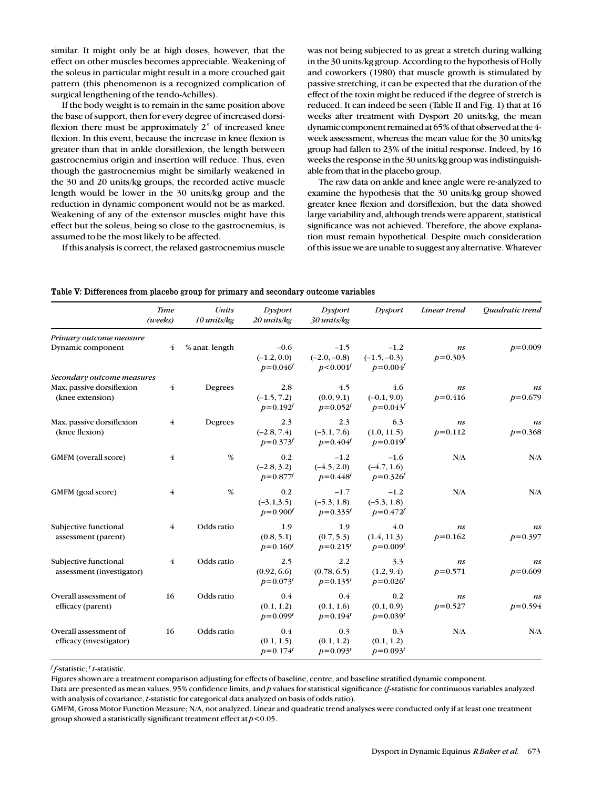similar. It might only be at high doses, however, that the effect on other muscles becomes appreciable. Weakening of the soleus in particular might result in a more crouched gait pattern (this phenomenon is a recognized complication of surgical lengthening of the tendo-Achilles).

If the body weight is to remain in the same position above the base of support, then for every degree of increased dorsiflexion there must be approximately 2˚ of increased knee flexion. In this event, because the increase in knee flexion is greater than that in ankle dorsiflexion, the length between gastrocnemius origin and insertion will reduce. Thus, even though the gastrocnemius might be similarly weakened in the 30 and 20 units/kg groups, the recorded active muscle length would be lower in the 30 units/kg group and the reduction in dynamic component would not be as marked. Weakening of any of the extensor muscles might have this effect but the soleus, being so close to the gastrocnemius, is assumed to be the most likely to be affected.

If this analysis is correct, the relaxed gastrocnemius muscle

was not being subjected to as great a stretch during walking in the 30 units/kg group. According to the hypothesis of Holly and coworkers (1980) that muscle growth is stimulated by passive stretching, it can be expected that the duration of the effect of the toxin might be reduced if the degree of stretch is reduced. It can indeed be seen (Table II and Fig. 1) that at 16 weeks after treatment with Dysport 20 units/kg, the mean dynamic component remained at 65% of that observed at the 4 week assessment, whereas the mean value for the 30 units/kg group had fallen to 23% of the initial response. Indeed, by 16 weeks the response in the 30 units/kg group was indistinguishable from that in the placebo group.

The raw data on ankle and knee angle were re-analyzed to examine the hypothesis that the 30 units/kg group showed greater knee flexion and dorsiflexion, but the data showed large variability and, although trends were apparent, statistical significance was not achieved. Therefore, the above explanation must remain hypothetical. Despite much consideration of this issue we are unable to suggest any alternative. Whatever

|                            | <b>Time</b><br>(weeks)  | <b>Units</b><br>10 units/kg | Dysport<br>20 units/kg | $D\nu$ sport<br>30 units/kg | Dysport        | Linear trend | Ouadratic trend |
|----------------------------|-------------------------|-----------------------------|------------------------|-----------------------------|----------------|--------------|-----------------|
| Primary outcome measure    |                         |                             |                        |                             |                |              |                 |
| Dynamic component          | $\overline{4}$          | % anat. length              | $-0.6$                 | $-1.5$                      | $-1.2$         | ns           | $p=0.009$       |
|                            |                         |                             | $(-1.2, 0.0)$          | $(-2.0, -0.8)$              | $(-1.5, -0.3)$ | $p=0.303$    |                 |
|                            |                         |                             | $p = 0.046f$           | p < 0.001                   | $p = 0.004$    |              |                 |
| Secondary outcome measures |                         |                             |                        |                             |                |              |                 |
| Max. passive dorsiflexion  | $\overline{\mathbf{4}}$ | Degrees                     | 2.8                    | 4.5                         | 4.6            | ns           | ns              |
| (knee extension)           |                         |                             | $(-1.5, 7.2)$          | (0.0, 9.1)                  | $(-0.1, 9.0)$  | $p=0.416$    | $p=0.679$       |
|                            |                         |                             | $p=0.192^{f}$          | $p=0.052^{f}$               | $p=0.043^{f}$  |              |                 |
| Max. passive dorsiflexion  | $\overline{\mathbf{4}}$ | Degrees                     | 2.3                    | 2.3                         | 6.3            | ns           | ns              |
| (knee flexion)             |                         |                             | $(-2.8, 7.4)$          | $(-3.1, 7.6)$               | (1.0, 11.5)    | $p=0.112$    | $p=0.368$       |
|                            |                         |                             | $p=0.373^{f}$          | $p = 0.404f$                | $p=0.019^{f}$  |              |                 |
| GMFM (overall score)       | $\overline{4}$          | %                           | 0.2                    | $-1.2$                      | $-1.6$         | N/A          | N/A             |
|                            |                         |                             | $(-2.8, 3.2)$          | $(-4.5, 2.0)$               | $(-4.7, 1.6)$  |              |                 |
|                            |                         |                             | $p=0.877^f$            | $p=0.448f$                  | $p=0.326$      |              |                 |
| GMFM (goal score)          | $\overline{4}$          | %                           | 0.2                    | $-1.7$                      | $-1.2$         | N/A          | N/A             |
|                            |                         |                             | $(-3.1, 3.5)$          | $(-5.3, 1.8)$               | $(-5.3, 1.8)$  |              |                 |
|                            |                         |                             | $p = 0.900^f$          | $p=0.335^{f}$               | $p=0.472^{f}$  |              |                 |
| Subjective functional      | 4                       | Odds ratio                  | 1.9                    | 1.9                         | 4.0            | ns           | ns              |
| assessment (parent)        |                         |                             | (0.8, 5.1)             | (0.7, 5.3)                  | (1.4, 11.3)    | $p=0.162$    | $p=0.397$       |
|                            |                         |                             | $p=0.160^t$            | $p=0.215^{t}$               | $p=0.009^t$    |              |                 |
| Subjective functional      | $\overline{4}$          | Odds ratio                  | 2.5                    | 2.2                         | 3.3            | ns           | ns              |
| assessment (investigator)  |                         |                             | (0.92, 6.6)            | (0.78, 6.5)                 | (1.2, 9.4)     | $p=0.571$    | $p=0.609$       |
|                            |                         |                             | $p=0.073^t$            | $p=0.135^{t}$               | $p=0.026^t$    |              |                 |
| Overall assessment of      | 16                      | Odds ratio                  | 0.4                    | 0.4                         | 0.2            | ns           | ns              |
| efficacy (parent)          |                         |                             | (0.1, 1.2)             | (0.1, 1.6)                  | (0.1, 0.9)     | $p=0.527$    | $p=0.594$       |
|                            |                         |                             | $p=0.099^t$            | $p=0.194^t$                 | $p=0.039^t$    |              |                 |
| Overall assessment of      | 16                      | Odds ratio                  | 0.4                    | 0.3                         | 0.3            | N/A          | N/A             |
| efficacy (investigator)    |                         |                             | (0.1, 1.5)             | (0.1, 1.2)                  | (0.1, 1.2)     |              |                 |
|                            |                         |                             | $p=0.174^{t}$          | $p=0.093^t$                 | $p=0.093^t$    |              |                 |

Table V: Differences from placebo group for primary and secondary outcome variables

*<sup>f</sup> f*-statistic; *<sup>t</sup> t*-statistic.

Figures shown are a treatment comparison adjusting for effects of baseline, centre, and baseline stratified dynamic component.

Data are presented as mean values, 95% confidence limits, and *p* values for statistical significance (*f*-statistic for continuous variables analyzed with analysis of covariance, *t*-statistic for categorical data analyzed on basis of odds ratio).

GMFM, Gross Motor Function Measure; N/A, not analyzed. Linear and quadratic trend analyses were conducted only if at least one treatment group showed a statistically significant treatment effect at *p*<0.05.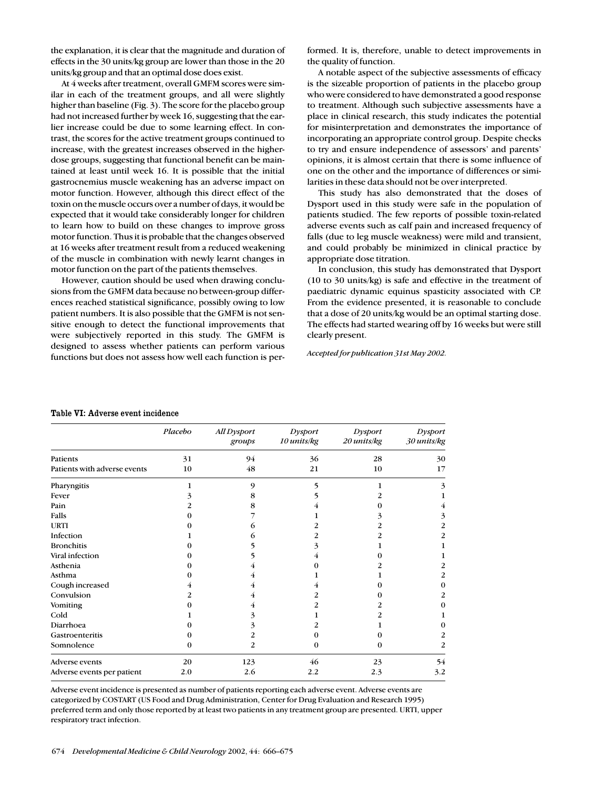the explanation, it is clear that the magnitude and duration of effects in the 30 units/kg group are lower than those in the 20 units/kg group and that an optimal dose does exist.

At 4 weeks after treatment, overall GMFM scores were similar in each of the treatment groups, and all were slightly higher than baseline (Fig. 3). The score for the placebo group had not increased further by week 16, suggesting that the earlier increase could be due to some learning effect. In contrast, the scores for the active treatment groups continued to increase, with the greatest increases observed in the higherdose groups, suggesting that functional benefit can be maintained at least until week 16. It is possible that the initial gastrocnemius muscle weakening has an adverse impact on motor function. However, although this direct effect of the toxin on the muscle occurs over a number of days, it would be expected that it would take considerably longer for children to learn how to build on these changes to improve gross motor function. Thus it is probable that the changes observed at 16 weeks after treatment result from a reduced weakening of the muscle in combination with newly learnt changes in motor function on the part of the patients themselves.

However, caution should be used when drawing conclusions from the GMFM data because no between-group differences reached statistical significance, possibly owing to low patient numbers. It is also possible that the GMFM is not sensitive enough to detect the functional improvements that were subjectively reported in this study. The GMFM is designed to assess whether patients can perform various functions but does not assess how well each function is performed. It is, therefore, unable to detect improvements in the quality of function.

A notable aspect of the subjective assessments of efficacy is the sizeable proportion of patients in the placebo group who were considered to have demonstrated a good response to treatment. Although such subjective assessments have a place in clinical research, this study indicates the potential for misinterpretation and demonstrates the importance of incorporating an appropriate control group. Despite checks to try and ensure independence of assessors' and parents' opinions, it is almost certain that there is some influence of one on the other and the importance of differences or similarities in these data should not be over interpreted.

This study has also demonstrated that the doses of Dysport used in this study were safe in the population of patients studied. The few reports of possible toxin-related adverse events such as calf pain and increased frequency of falls (due to leg muscle weakness) were mild and transient, and could probably be minimized in clinical practice by appropriate dose titration.

In conclusion, this study has demonstrated that Dysport (10 to 30 units/kg) is safe and effective in the treatment of paediatric dynamic equinus spasticity associated with CP. From the evidence presented, it is reasonable to conclude that a dose of 20 units/kg would be an optimal starting dose. The effects had started wearing off by 16 weeks but were still clearly present.

*Accepted for publication 31st May 2002.*

|                              | Placebo  | All Dysport<br>groups | Dysport<br>10 <i>units</i> /kg | Dysport<br>20 units/kg | Dysport<br>30 units/kg |
|------------------------------|----------|-----------------------|--------------------------------|------------------------|------------------------|
| Patients                     | 31       | 94                    | 36                             | 28                     | 30                     |
| Patients with adverse events | 10       | 48                    | 21                             | 10                     | 17                     |
| Pharyngitis                  | 1        | 9                     | 5                              | 1                      | 3                      |
| Fever                        | 3        | 8                     | י                              | 2                      |                        |
| Pain                         |          | 8                     |                                |                        |                        |
| Falls                        | 0        |                       |                                | 3                      | 3                      |
| <b>URTI</b>                  |          | 6                     |                                |                        | 2                      |
| Infection                    |          | 6                     | 2                              | 2                      | 2                      |
| <b>Bronchitis</b>            |          |                       | 3                              |                        |                        |
| Viral infection              |          | 5                     |                                |                        |                        |
| Asthenia                     |          |                       | 0                              |                        | 2                      |
| Asthma                       |          | 4                     |                                |                        | 2                      |
| Cough increased              |          | 4                     |                                |                        | 0                      |
| Convulsion                   |          | 4                     |                                |                        |                        |
| Vomiting                     |          | 4                     |                                |                        | 0                      |
| Cold                         |          | 3                     |                                |                        |                        |
| Diarrhoea                    |          | 3                     |                                |                        | $_{0}$                 |
| Gastroenteritis              | 0        | 2                     | 0                              | 0                      | 2                      |
| Somnolence                   | $\bf{0}$ | 2                     | $\bf{0}$                       | 0                      | 2                      |
| Adverse events               | 20       | 123                   | 46                             | 23                     | 54                     |
| Adverse events per patient   | 2.0      | 2.6                   | 2.2                            | 2.3                    | 3.2                    |

# Table VI: Adverse event incidence

Adverse event incidence is presented as number of patients reporting each adverse event. Adverse events are categorized by COSTART (US Food and Drug Administration, Center for Drug Evaluation and Research 1995) preferred term and only those reported by at least two patients in any treatment group are presented. URTI, upper respiratory tract infection.